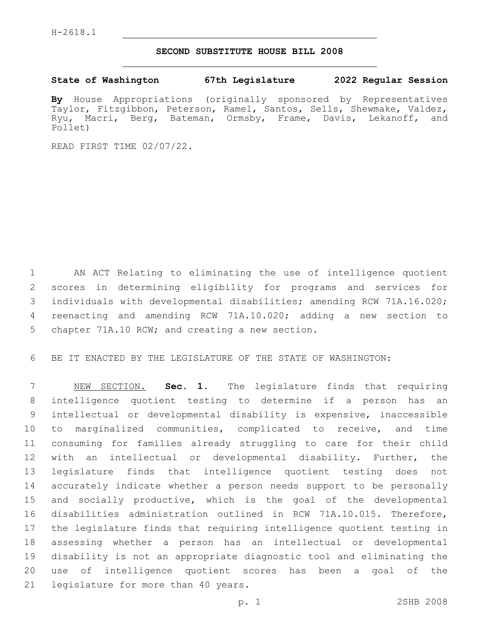## **SECOND SUBSTITUTE HOUSE BILL 2008**

**State of Washington 67th Legislature 2022 Regular Session**

**By** House Appropriations (originally sponsored by Representatives Taylor, Fitzgibbon, Peterson, Ramel, Santos, Sells, Shewmake, Valdez, Ryu, Macri, Berg, Bateman, Ormsby, Frame, Davis, Lekanoff, and Pollet)

READ FIRST TIME 02/07/22.

 AN ACT Relating to eliminating the use of intelligence quotient scores in determining eligibility for programs and services for individuals with developmental disabilities; amending RCW 71A.16.020; reenacting and amending RCW 71A.10.020; adding a new section to 5 chapter 71A.10 RCW; and creating a new section.

BE IT ENACTED BY THE LEGISLATURE OF THE STATE OF WASHINGTON:

 NEW SECTION. **Sec. 1.** The legislature finds that requiring intelligence quotient testing to determine if a person has an intellectual or developmental disability is expensive, inaccessible to marginalized communities, complicated to receive, and time consuming for families already struggling to care for their child with an intellectual or developmental disability. Further, the legislature finds that intelligence quotient testing does not accurately indicate whether a person needs support to be personally and socially productive, which is the goal of the developmental disabilities administration outlined in RCW 71A.10.015. Therefore, the legislature finds that requiring intelligence quotient testing in assessing whether a person has an intellectual or developmental disability is not an appropriate diagnostic tool and eliminating the use of intelligence quotient scores has been a goal of the legislature for more than 40 years.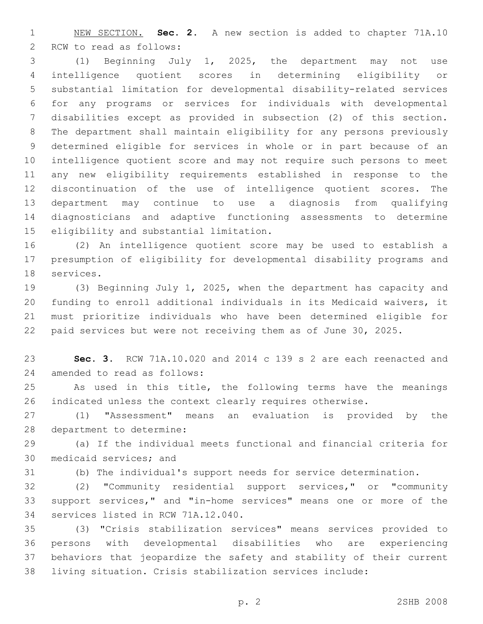NEW SECTION. **Sec. 2.** A new section is added to chapter 71A.10 2 RCW to read as follows:

 (1) Beginning July 1, 2025, the department may not use intelligence quotient scores in determining eligibility or substantial limitation for developmental disability-related services for any programs or services for individuals with developmental disabilities except as provided in subsection (2) of this section. The department shall maintain eligibility for any persons previously determined eligible for services in whole or in part because of an intelligence quotient score and may not require such persons to meet any new eligibility requirements established in response to the discontinuation of the use of intelligence quotient scores. The department may continue to use a diagnosis from qualifying diagnosticians and adaptive functioning assessments to determine 15 eligibility and substantial limitation.

 (2) An intelligence quotient score may be used to establish a presumption of eligibility for developmental disability programs and 18 services.

 (3) Beginning July 1, 2025, when the department has capacity and funding to enroll additional individuals in its Medicaid waivers, it must prioritize individuals who have been determined eligible for paid services but were not receiving them as of June 30, 2025.

 **Sec. 3.** RCW 71A.10.020 and 2014 c 139 s 2 are each reenacted and 24 amended to read as follows:

 As used in this title, the following terms have the meanings indicated unless the context clearly requires otherwise.

 (1) "Assessment" means an evaluation is provided by the 28 department to determine:

 (a) If the individual meets functional and financial criteria for 30 medicaid services; and

(b) The individual's support needs for service determination.

 (2) "Community residential support services," or "community support services," and "in-home services" means one or more of the 34 services listed in RCW 71A.12.040.

 (3) "Crisis stabilization services" means services provided to persons with developmental disabilities who are experiencing behaviors that jeopardize the safety and stability of their current living situation. Crisis stabilization services include: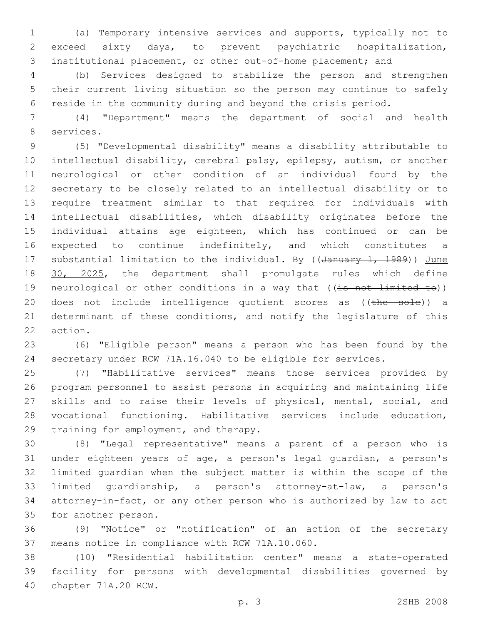(a) Temporary intensive services and supports, typically not to exceed sixty days, to prevent psychiatric hospitalization, institutional placement, or other out-of-home placement; and

 (b) Services designed to stabilize the person and strengthen their current living situation so the person may continue to safely reside in the community during and beyond the crisis period.

 (4) "Department" means the department of social and health 8 services.

 (5) "Developmental disability" means a disability attributable to intellectual disability, cerebral palsy, epilepsy, autism, or another neurological or other condition of an individual found by the secretary to be closely related to an intellectual disability or to require treatment similar to that required for individuals with intellectual disabilities, which disability originates before the individual attains age eighteen, which has continued or can be 16 expected to continue indefinitely, and which constitutes a 17 substantial limitation to the individual. By ((January 1, 1989)) June 18 30, 2025, the department shall promulgate rules which define 19 neurological or other conditions in a way that ((is not limited to)) 20 does not include intelligence quotient scores as ((the sole)) a determinant of these conditions, and notify the legislature of this 22 action.

 (6) "Eligible person" means a person who has been found by the secretary under RCW 71A.16.040 to be eligible for services.

 (7) "Habilitative services" means those services provided by program personnel to assist persons in acquiring and maintaining life skills and to raise their levels of physical, mental, social, and vocational functioning. Habilitative services include education, 29 training for employment, and therapy.

 (8) "Legal representative" means a parent of a person who is under eighteen years of age, a person's legal guardian, a person's limited guardian when the subject matter is within the scope of the limited guardianship, a person's attorney-at-law, a person's attorney-in-fact, or any other person who is authorized by law to act 35 for another person.

 (9) "Notice" or "notification" of an action of the secretary 37 means notice in compliance with RCW 71A.10.060.

 (10) "Residential habilitation center" means a state-operated facility for persons with developmental disabilities governed by 40 chapter 71A.20 RCW.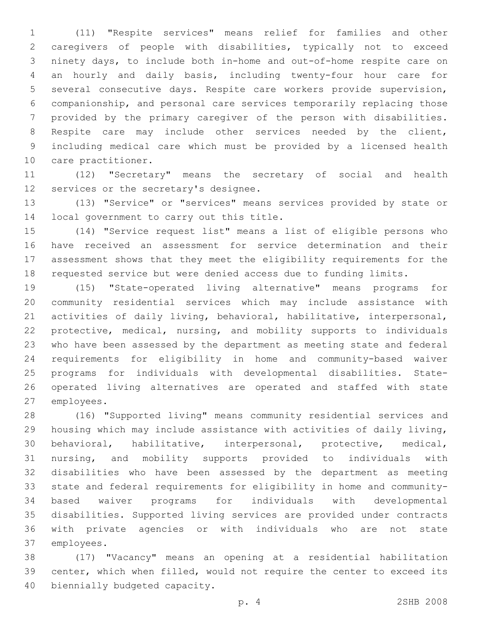(11) "Respite services" means relief for families and other caregivers of people with disabilities, typically not to exceed ninety days, to include both in-home and out-of-home respite care on an hourly and daily basis, including twenty-four hour care for several consecutive days. Respite care workers provide supervision, companionship, and personal care services temporarily replacing those provided by the primary caregiver of the person with disabilities. Respite care may include other services needed by the client, including medical care which must be provided by a licensed health 10 care practitioner.

 (12) "Secretary" means the secretary of social and health 12 services or the secretary's designee.

 (13) "Service" or "services" means services provided by state or 14 local government to carry out this title.

 (14) "Service request list" means a list of eligible persons who have received an assessment for service determination and their assessment shows that they meet the eligibility requirements for the requested service but were denied access due to funding limits.

 (15) "State-operated living alternative" means programs for community residential services which may include assistance with activities of daily living, behavioral, habilitative, interpersonal, protective, medical, nursing, and mobility supports to individuals who have been assessed by the department as meeting state and federal requirements for eligibility in home and community-based waiver programs for individuals with developmental disabilities. State- operated living alternatives are operated and staffed with state 27 employees.

 (16) "Supported living" means community residential services and housing which may include assistance with activities of daily living, behavioral, habilitative, interpersonal, protective, medical, nursing, and mobility supports provided to individuals with disabilities who have been assessed by the department as meeting state and federal requirements for eligibility in home and community- based waiver programs for individuals with developmental disabilities. Supported living services are provided under contracts with private agencies or with individuals who are not state 37 employees.

 (17) "Vacancy" means an opening at a residential habilitation center, which when filled, would not require the center to exceed its 40 biennially budgeted capacity.